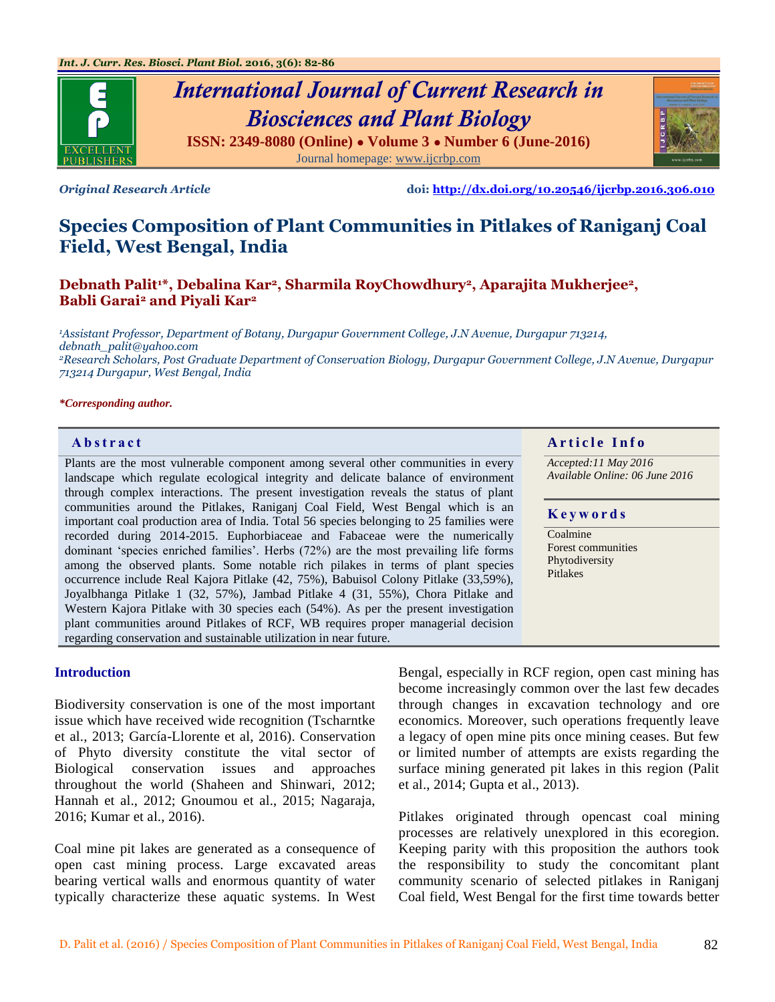

# *International Journal of Current Research in Biosciences and Plant Biology* **ISSN: 2349-8080 (Online) ● Volume 3 ● Number 6 (June-2016)**

Journal homepage: [www.ijcrbp.com](http://www.ijcrbp.com/)

*Original Research Article* **doi:<http://dx.doi.org/10.20546/ijcrbp.2016.306.010>**

## **Species Composition of Plant Communities in Pitlakes of Raniganj Coal Field, West Bengal, India**

**Debnath Palit1\*, Debalina Kar2, Sharmila RoyChowdhury2, Aparajita Mukherjee2, Babli Garai<sup>2</sup> and Piyali Kar<sup>2</sup>**

*<sup>1</sup>Assistant Professor, Department of Botany, Durgapur Government College, J.N Avenue, Durgapur 713214, debnath\_palit@yahoo.com <sup>2</sup>Research Scholars, Post Graduate Department of Conservation Biology, Durgapur Government College, J.N Avenue, Durgapur 713214 Durgapur, West Bengal, India*

#### *\*Corresponding author.*

Plants are the most vulnerable component among several other communities in every landscape which regulate ecological integrity and delicate balance of environment through complex interactions. The present investigation reveals the status of plant communities around the Pitlakes, Raniganj Coal Field, West Bengal which is an important coal production area of India. Total 56 species belonging to 25 families were recorded during 2014-2015. Euphorbiaceae and Fabaceae were the numerically dominant 'species enriched families'. Herbs (72%) are the most prevailing life forms among the observed plants. Some notable rich pilakes in terms of plant species occurrence include Real Kajora Pitlake (42, 75%), Babuisol Colony Pitlake (33,59%), Joyalbhanga Pitlake 1 (32, 57%), Jambad Pitlake 4 (31, 55%), Chora Pitlake and Western Kajora Pitlake with 30 species each (54%). As per the present investigation plant communities around Pitlakes of RCF, WB requires proper managerial decision regarding conservation and sustainable utilization in near future.

#### **Introduction**

Biodiversity conservation is one of the most important issue which have received wide recognition (Tscharntke et al., 2013; García-Llorente et al, 2016). Conservation of Phyto diversity constitute the vital sector of Biological conservation issues and approaches throughout the world (Shaheen and Shinwari, 2012; Hannah et al., 2012; Gnoumou et al., 2015; Nagaraja, 2016; Kumar et al., 2016).

Coal mine pit lakes are generated as a consequence of open cast mining process. Large excavated areas bearing vertical walls and enormous quantity of water typically characterize these aquatic systems. In West

#### **Abstract A A A A A** *A* **r <b>il** *Article Info*

*Accepted:11 May 2016 Available Online: 06 June 2016*

#### **K e y w o r d s**

Coalmine Forest communities Phytodiversity Pitlakes

Bengal, especially in RCF region, open cast mining has become increasingly common over the last few decades through changes in excavation technology and ore economics. Moreover, such operations frequently leave a legacy of open mine pits once mining ceases. But few or limited number of attempts are exists regarding the surface mining generated pit lakes in this region (Palit et al., 2014; Gupta et al., 2013).

Pitlakes originated through opencast coal mining processes are relatively unexplored in this ecoregion. Keeping parity with this proposition the authors took the responsibility to study the concomitant plant community scenario of selected pitlakes in Raniganj Coal field, West Bengal for the first time towards better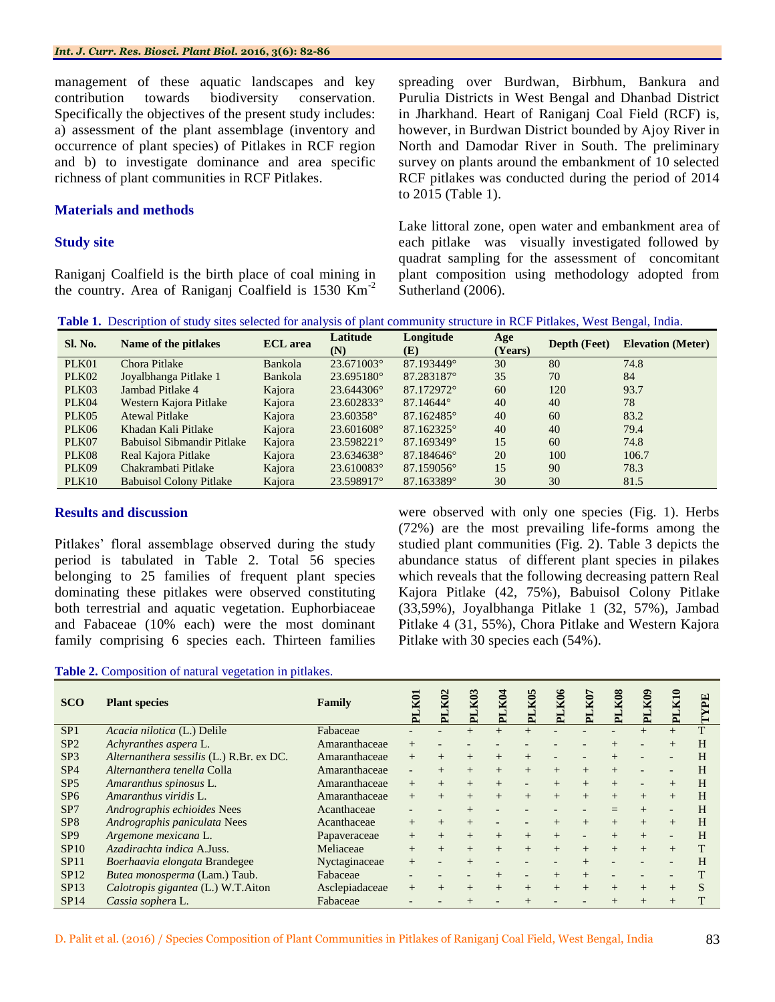management of these aquatic landscapes and key contribution towards biodiversity conservation. Specifically the objectives of the present study includes: a) assessment of the plant assemblage (inventory and occurrence of plant species) of Pitlakes in RCF region and b) to investigate dominance and area specific richness of plant communities in RCF Pitlakes.

#### **Materials and methods**

#### **Study site**

Raniganj Coalfield is the birth place of coal mining in the country. Area of Raniganj Coalfield is  $1530 \text{ Km}^{-2}$  spreading over Burdwan, Birbhum, Bankura and Purulia Districts in West Bengal and Dhanbad District in Jharkhand. Heart of Raniganj Coal Field (RCF) is, however, in Burdwan District bounded by Ajoy River in North and Damodar River in South. The preliminary survey on plants around the embankment of 10 selected RCF pitlakes was conducted during the period of 2014 to 2015 (Table 1).

Lake littoral zone, open water and embankment area of each pitlake was visually investigated followed by quadrat sampling for the assessment of concomitant plant composition using methodology adopted from Sutherland (2006).

**Table 1.** Description of study sites selected for analysis of plant community structure in RCF Pitlakes, West Bengal, India.

| Sl. No. | Name of the pitlakes              | <b>ECL</b> area | Latitude<br>(N) | Longitude<br>(E) | Age<br>(Years) | Depth (Feet) | <b>Elevation</b> (Meter) |
|---------|-----------------------------------|-----------------|-----------------|------------------|----------------|--------------|--------------------------|
| PLK01   | Chora Pitlake                     | Bankola         | 23.671003°      | 87.193449°       | 30             | 80           | 74.8                     |
| PLK02   | Joyalbhanga Pitlake 1             | Bankola         | 23.695180°      | 87.283187°       | 35             | 70           | 84                       |
| PLK03   | Jambad Pitlake 4                  | Kajora          | 23.644306°      | 87.172972°       | 60             | 120          | 93.7                     |
| PLK04   | Western Kajora Pitlake            | Kajora          | 23.602833°      | 87.14644°        | 40             | 40           | 78                       |
| PLK05   | <b>Atewal Pitlake</b>             | Kajora          | 23.60358°       | 87.162485°       | 40             | 60           | 83.2                     |
| PLK06   | Khadan Kali Pitlake               | Kajora          | 23.601608°      | 87.162325°       | 40             | 40           | 79.4                     |
| PLK07   | <b>Babuisol Sibmandir Pitlake</b> | Kajora          | 23.598221°      | 87.169349°       | 15             | 60           | 74.8                     |
| PLK08   | Real Kajora Pitlake               | Kajora          | 23.634638°      | 87.184646°       | 20             | 100          | 106.7                    |
| PLK09   | Chakrambati Pitlake               | Kajora          | 23.610083°      | 87.159056°       | 15             | 90           | 78.3                     |
| PLK10   | <b>Babuisol Colony Pitlake</b>    | Kajora          | 23.598917°      | 87.163389°       | 30             | 30           | 81.5                     |

#### **Results and discussion**

Pitlakes' floral assemblage observed during the study period is tabulated in Table 2. Total 56 species belonging to 25 families of frequent plant species dominating these pitlakes were observed constituting both terrestrial and aquatic vegetation. Euphorbiaceae and Fabaceae (10% each) were the most dominant family comprising 6 species each. Thirteen families were observed with only one species (Fig. 1). Herbs (72%) are the most prevailing life-forms among the studied plant communities (Fig. 2). Table 3 depicts the abundance status of different plant species in pilakes which reveals that the following decreasing pattern Real Kajora Pitlake (42, 75%), Babuisol Colony Pitlake (33,59%), Joyalbhanga Pitlake 1 (32, 57%), Jambad Pitlake 4 (31, 55%), Chora Pitlake and Western Kajora Pitlake with 30 species each (54%).

|  |  |  |  | Table 2. Composition of natural vegetation in pitlakes. |  |
|--|--|--|--|---------------------------------------------------------|--|
|--|--|--|--|---------------------------------------------------------|--|

| <b>SCO</b>      | <b>Plant species</b>                     | Family         | PLK01  | PLK02  | PLK0.  | K <sub>0</sub><br>$\mathbf{H}$ | K <sub>0</sub> S | PLK06  | PLK07                    | K08 | PLK09  | <b>KI0</b><br>ᄇ |   |
|-----------------|------------------------------------------|----------------|--------|--------|--------|--------------------------------|------------------|--------|--------------------------|-----|--------|-----------------|---|
| SP1             | Acacia nilotica (L.) Delile              | Fabaceae       |        |        | $^{+}$ | $^{+}$                         | $^{+}$           |        |                          |     | $^{+}$ | $^{+}$          |   |
| SP <sub>2</sub> | Achyranthes aspera L.                    | Amaranthaceae  | $^{+}$ |        |        |                                |                  |        |                          |     |        |                 | H |
| SP <sub>3</sub> | Alternanthera sessilis (L.) R.Br. ex DC. | Amaranthaceae  | $^{+}$ | $^{+}$ | $+$    | $^{+}$                         |                  |        |                          |     |        |                 | H |
| SP4             | Alternanthera tenella Colla              | Amaranthaceae  | -      | $^{+}$ | $+$    | $+$                            | $^{+}$           | $^{+}$ | $^{+}$                   |     |        |                 | H |
| SP5             | Amaranthus spinosus L.                   | Amaranthaceae  | $^{+}$ |        | $+$    | $+$                            |                  | $+$    | $+$                      |     |        |                 | H |
| SP <sub>6</sub> | Amaranthus viridis L.                    | Amaranthaceae  | $^{+}$ |        |        | $^{+}$                         |                  | $^{+}$ | $+$                      |     | $^{+}$ |                 | H |
| SP <sub>7</sub> | Andrographis echioides Nees              | Acanthaceae    |        |        | $+$    |                                |                  |        |                          |     | $^{+}$ |                 | H |
| SP <sub>8</sub> | Andrographis paniculata Nees             | Acanthaceae    | $^{+}$ | $^{+}$ | $+$    |                                |                  | $^{+}$ | $+$                      | $+$ | $+$    | $+$             | H |
| SP <sub>9</sub> | Argemone mexicana L.                     | Papaveraceae   | $^{+}$ | $^{+}$ | $+$    | $+$                            |                  | $+$    | $\overline{\phantom{0}}$ |     | $+$    |                 | H |
| SP10            | Azadirachta indica A.Juss.               | Meliaceae      | $^{+}$ | $^{+}$ | $+$    | $+$                            | $^{+}$           | $+$    | $+$                      |     | $^{+}$ |                 |   |
| SP11            | Boerhaavia elongata Brandegee            | Nyctaginaceae  | $^{+}$ |        |        |                                |                  |        |                          |     |        |                 | H |
| SP12            | Butea monosperma (Lam.) Taub.            | Fabaceae       |        |        |        |                                |                  |        | $^{+}$                   |     |        |                 |   |
| SP13            | Calotropis gigantea (L.) W.T.Aiton       | Asclepiadaceae | $^{+}$ | $^{+}$ | $+$    | $+$                            | $^{+}$           | $^{+}$ | $+$                      |     | $+$    | $+$             | S |
| SP14            | Cassia sophera L.                        | Fabaceae       |        |        |        |                                |                  |        |                          |     |        |                 |   |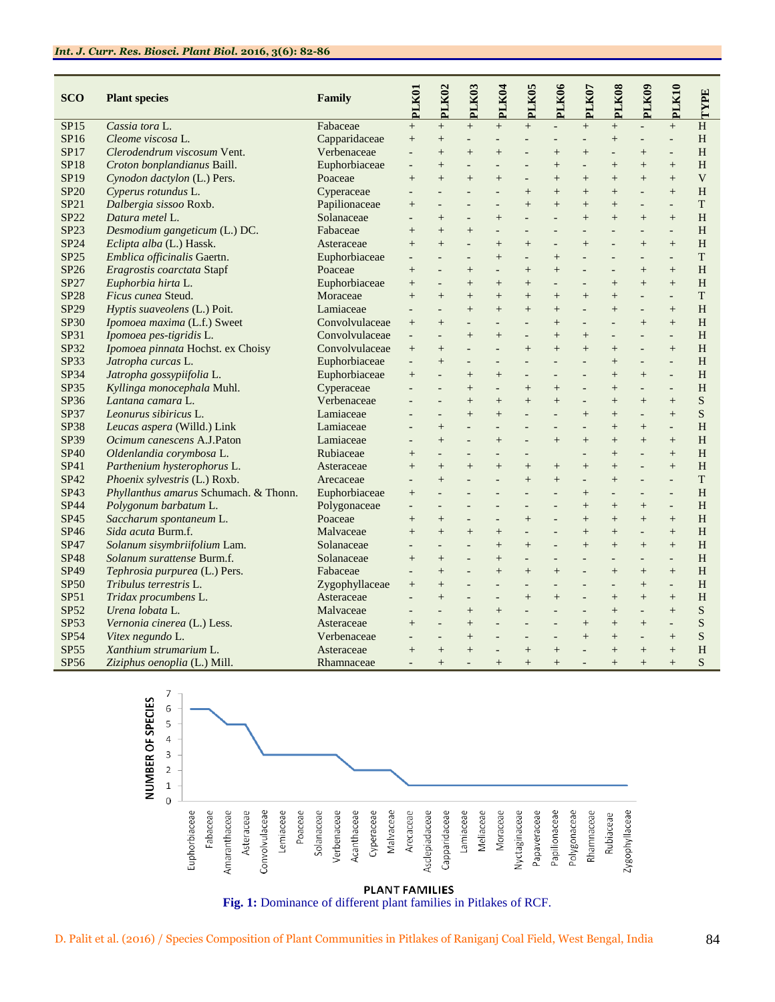| <b>SCO</b>  | <b>Plant species</b>                  | Family         | PLK01                    | PLK02                    | PLK03                    | PLK04          | PLK05                    | PLK06                    | PLK07                    | PLK08                    | PLK09                    | PLK10                    | TYPE                      |
|-------------|---------------------------------------|----------------|--------------------------|--------------------------|--------------------------|----------------|--------------------------|--------------------------|--------------------------|--------------------------|--------------------------|--------------------------|---------------------------|
| SP15        | Cassia tora L.                        | Fabaceae       | $\overline{+}$           | $\ddot{}$                | $^{+}$                   | $^{+}$         | $+$                      |                          | $^{+}$                   | $+$                      | $\Box$                   | $\ddot{}$                | H                         |
| SP16        | Cleome viscosa L.                     | Capparidaceae  | $+$                      | $+$                      | $\overline{a}$           |                |                          | $\overline{a}$           |                          | $+$                      | $\overline{a}$           | $\overline{a}$           | H                         |
| <b>SP17</b> | Clerodendrum viscosum Vent.           | Verbenaceae    |                          | $+$                      | $^{+}$                   | $\ddot{}$      |                          | $\ddot{}$                | $\ddot{}$                |                          | $^{+}$                   | $\overline{a}$           | H                         |
| <b>SP18</b> | Croton bonplandianus Baill.           | Euphorbiaceae  | $\overline{\phantom{a}}$ | $\ddot{}$                | $\overline{a}$           | $\overline{a}$ | $\overline{a}$           | $\ddot{}$                | $\overline{a}$           | $^{+}$                   | $\ddot{}$                | $+$                      | $\rm H$                   |
| SP19        | Cynodon dactylon (L.) Pers.           | Poaceae        | $+$                      | $+$                      | $+$                      | $^{+}$         | $\overline{a}$           | $\qquad \qquad +$        | $^{+}$                   | $+$                      | $+$                      | $+$                      | $\ensuremath{\mathbf{V}}$ |
| <b>SP20</b> | Cyperus rotundus L.                   | Cyperaceae     |                          |                          |                          | $\overline{a}$ | $^{+}$                   | $+$                      | $^{+}$                   | $+$                      | $\overline{a}$           | $+$                      | H                         |
| <b>SP21</b> | Dalbergia sissoo Roxb.                | Papilionaceae  | $^{+}$                   | $\overline{a}$           | $\overline{a}$           | $\overline{a}$ | $^{+}$                   | $^{+}$                   | $^{+}$                   | $+$                      | $\overline{a}$           | $\overline{\phantom{a}}$ | T                         |
| <b>SP22</b> | Datura metel L.                       | Solanaceae     | $\overline{\phantom{a}}$ | $+$                      | $\overline{\phantom{a}}$ | $+$            | $\overline{a}$           | $\overline{\phantom{a}}$ | $^{+}$                   | $+$                      | $+$                      | $+$                      | H                         |
| SP23        | Desmodium gangeticum (L.) DC.         | Fabaceae       | $\ddot{}$                | $+$                      | $^{+}$                   | $\overline{a}$ |                          |                          |                          |                          |                          | $\overline{\phantom{a}}$ | H                         |
| <b>SP24</b> | Eclipta alba (L.) Hassk.              | Asteraceae     | $^{+}$                   | $^{+}$                   | $\overline{\phantom{a}}$ | $^{+}$         | $+$                      | $\overline{a}$           | $^{+}$                   | $\overline{a}$           | $+$                      | $+$                      | H                         |
| <b>SP25</b> | Emblica officinalis Gaertn.           | Euphorbiaceae  | $\overline{\phantom{a}}$ | $\overline{\phantom{a}}$ | $\blacksquare$           | $+$            | $\overline{a}$           |                          | $\overline{\phantom{a}}$ | $\overline{\phantom{a}}$ | $\overline{a}$           | $\overline{\phantom{a}}$ | <sup>T</sup>              |
| SP26        | Eragrostis coarctata Stapf            | Poaceae        | $\overline{+}$           |                          | $^{+}$                   | $\overline{a}$ | $^{+}$                   | $+$                      |                          |                          | $^{+}$                   | $+$                      | H                         |
| <b>SP27</b> | Euphorbia hirta L.                    | Euphorbiaceae  | $\ddot{}$                |                          | $^{+}$                   | $^{+}$         | $\ddot{}$                | $\frac{1}{2}$            | $\overline{a}$           | $+$                      | $\ddot{}$                | $+$                      | H                         |
| <b>SP28</b> | Ficus cunea Steud.                    | Moraceae       | $\ddot{}$                | $+$                      | $\ddot{}$                | $^{+}$         | $^{+}$                   |                          | $+$                      | $+$                      | $\overline{a}$           | $\Box$                   | <sup>T</sup>              |
| SP29        | Hyptis suaveolens (L.) Poit.          | Lamiaceae      |                          |                          | $^{+}$                   | $+$            | $^{+}$                   | $+$                      |                          | $+$                      | $\overline{a}$           | $+$                      | H                         |
| <b>SP30</b> | Ipomoea maxima (L.f.) Sweet           | Convolvulaceae | $\overline{+}$           | $\overline{+}$           | $\frac{1}{2}$            | $\overline{a}$ | $\overline{a}$           | $+$                      | $\overline{a}$           | $\overline{a}$           | $\ddot{}$                | $+$                      | H                         |
| SP31        | Ipomoea pes-tigridis L.               | Convolvulaceae | $\frac{1}{2}$            | $\overline{\phantom{a}}$ | $+$                      | $+$            | $\overline{a}$           | $+$                      | $^{+}$                   | $\overline{a}$           | $\overline{a}$           | $\blacksquare$           | H                         |
| SP32        | Ipomoea pinnata Hochst. ex Choisy     | Convolvulaceae | $+$                      | $^{+}$                   | $\overline{a}$           |                | $^{+}$                   | $+$                      | $\ddot{}$                | $^{+}$                   | $\overline{a}$           | $+$                      | H                         |
| <b>SP33</b> | Jatropha curcas L.                    | Euphorbiaceae  | ÷.                       | $^{+}$                   | $\overline{a}$           | $\overline{a}$ | $\overline{a}$           | $\overline{a}$           | $\overline{\phantom{a}}$ | $+$                      | $\overline{a}$           | $\overline{\phantom{a}}$ | H                         |
| <b>SP34</b> | Jatropha gossypiifolia L.             | Euphorbiaceae  | $+$                      | $\blacksquare$           | $+$                      | $+$            | $\overline{\phantom{a}}$ | $\overline{\phantom{a}}$ | $\overline{\phantom{a}}$ | $+$                      | $+$                      | $\Box$                   | H                         |
| <b>SP35</b> | Kyllinga monocephala Muhl.            | Cyperaceae     |                          |                          | $^{+}$                   |                | $^{+}$                   | $+$                      |                          | $+$                      | $\overline{\phantom{a}}$ |                          | H                         |
| <b>SP36</b> | Lantana camara L.                     | Verbenaceae    |                          | $\overline{a}$           | $+$                      | $^{+}$         | $+$                      | $+$                      | $\overline{a}$           | $+$                      | $+$                      | $+$                      | S                         |
| <b>SP37</b> | Leonurus sibiricus L.                 | Lamiaceae      | $\overline{\phantom{a}}$ | $\blacksquare$           | $\ddot{}$                | $+$            | $\overline{a}$           | $\overline{\phantom{a}}$ | $+$                      | $+$                      | $\overline{a}$           | $+$                      | S                         |
| <b>SP38</b> | Leucas aspera (Willd.) Link           | Lamiaceae      |                          | $+$                      |                          |                |                          |                          |                          | $^{+}$                   | $^{+}$                   | $\overline{a}$           | H                         |
| SP39        | Ocimum canescens A.J.Paton            | Lamiaceae      |                          | $^{+}$                   | $\overline{a}$           | $^{+}$         |                          | $+$                      | $^{+}$                   | $+$                      | $\ddot{}$                | $+$                      | H                         |
| <b>SP40</b> | Oldenlandia corymbosa L.              | Rubiaceae      | $+$                      | $\blacksquare$           | $\blacksquare$           | $\overline{a}$ | $\blacksquare$           |                          | $\overline{a}$           | $+$                      | $\overline{a}$           | $^{+}$                   | H                         |
| SP41        | Parthenium hysterophorus L.           | Asteraceae     | $\ddot{}$                | $+$                      | $^{+}$                   | $+$            | $^{+}$                   | $^+$                     | $\ddot{}$                | $+$                      |                          | $+$                      | H                         |
| SP42        | Phoenix sylvestris (L.) Roxb.         | Arecaceae      | $\overline{a}$           | $\ddot{}$                | $\overline{a}$           | $\overline{a}$ | $+$                      | $+$                      | $\overline{a}$           | $^{+}$                   | $\overline{a}$           | $\overline{a}$           | $\mathbf T$               |
| SP43        | Phyllanthus amarus Schumach. & Thonn. | Euphorbiaceae  |                          | $\overline{\phantom{a}}$ | $\overline{\phantom{a}}$ | $\overline{a}$ | $\overline{a}$           | $\overline{\phantom{a}}$ | $^{+}$                   | $\overline{a}$           | $\frac{1}{2}$            | $\overline{\phantom{a}}$ | H                         |
| <b>SP44</b> | Polygonum barbatum L.                 | Polygonaceae   |                          |                          |                          |                |                          |                          | $^{+}$                   | $^{+}$                   | $^{+}$                   | $\overline{a}$           | H                         |
| <b>SP45</b> | Saccharum spontaneum L.               | Poaceae        | $+$                      | $^{+}$                   | $\overline{a}$           | $\overline{a}$ | $+$                      | $\overline{a}$           | $^{+}$                   | $+$                      | $+$                      | $+$                      | H                         |
| <b>SP46</b> | Sida acuta Burm.f.                    | Malvaceae      | $+$                      | $+$                      | $+$                      | $+$            | $\overline{\phantom{a}}$ | $\overline{a}$           | $^{+}$                   | $+$                      | $\overline{\phantom{a}}$ | $+$                      | H                         |
| SP47        | Solanum sisymbriifolium Lam.          | Solanaceae     |                          |                          |                          | $+$            | $^{+}$                   |                          | $\ddot{}$                | $^{+}$                   | $+$                      | $+$                      | H                         |
| <b>SP48</b> | Solanum surattense Burm.f.            | Solanaceae     | $+$                      | $+$                      | $\overline{a}$           | $+$            | $\overline{\phantom{a}}$ | $\overline{a}$           | $\frac{1}{2}$            |                          | $\overline{\phantom{a}}$ | $\overline{\phantom{a}}$ | H                         |
| SP49        | Tephrosia purpurea (L.) Pers.         | Fabaceae       | $\overline{\phantom{a}}$ | $\ddot{}$                | $\overline{\phantom{a}}$ | $+$            | $+$                      | $+$                      | $\overline{\phantom{a}}$ | $+$                      | $^{+}$                   | $+$                      | H                         |
| <b>SP50</b> | Tribulus terrestris L.                | Zygophyllaceae | $\overline{+}$           | $+$                      |                          | $\overline{a}$ |                          |                          | $\overline{a}$           |                          | $^{+}$                   | $\overline{a}$           | H                         |
| SP51        | Tridax procumbens L.                  | Asteraceae     |                          | $^{+}$                   | $\overline{a}$           | $\overline{a}$ | $+$                      | $+$                      | $\overline{a}$           | $+$                      | $+$                      | $+$                      | H                         |
| SP52        | Urena lobata L.                       | Malvaceae      | $\overline{a}$           | $\overline{\phantom{a}}$ | $^{+}$                   | $+$            | $\overline{a}$           | $\overline{\phantom{a}}$ | $\overline{\phantom{a}}$ | $+$                      | $\overline{a}$           | $+$                      | S                         |
| <b>SP53</b> | Vernonia cinerea (L.) Less.           | Asteraceae     | $^{+}$                   |                          | $^{+}$                   | $\overline{a}$ |                          |                          | $^{+}$                   | $\overline{+}$           | $^{+}$                   | $\overline{\phantom{a}}$ | S                         |
| SP54        | Vitex negundo L.                      | Verbenaceae    |                          |                          | $^{+}$                   |                |                          |                          | $\ddot{}$                | $^{+}$                   | $\overline{a}$           | $\ddot{}$                | S                         |
| <b>SP55</b> | Xanthium strumarium L.                | Asteraceae     | $+$                      | $+$                      | $+$                      |                | $+$                      | $+$                      | $\overline{a}$           | $+$                      | $+$                      | $+$                      | H                         |
| <b>SP56</b> | Ziziphus oenoplia (L.) Mill.          | Rhamnaceae     |                          | $+$                      |                          | $^{+}$         | $^{+}$                   | $^{+}$                   |                          | $^{+}$                   | $+$                      | $^{+}$                   | S                         |

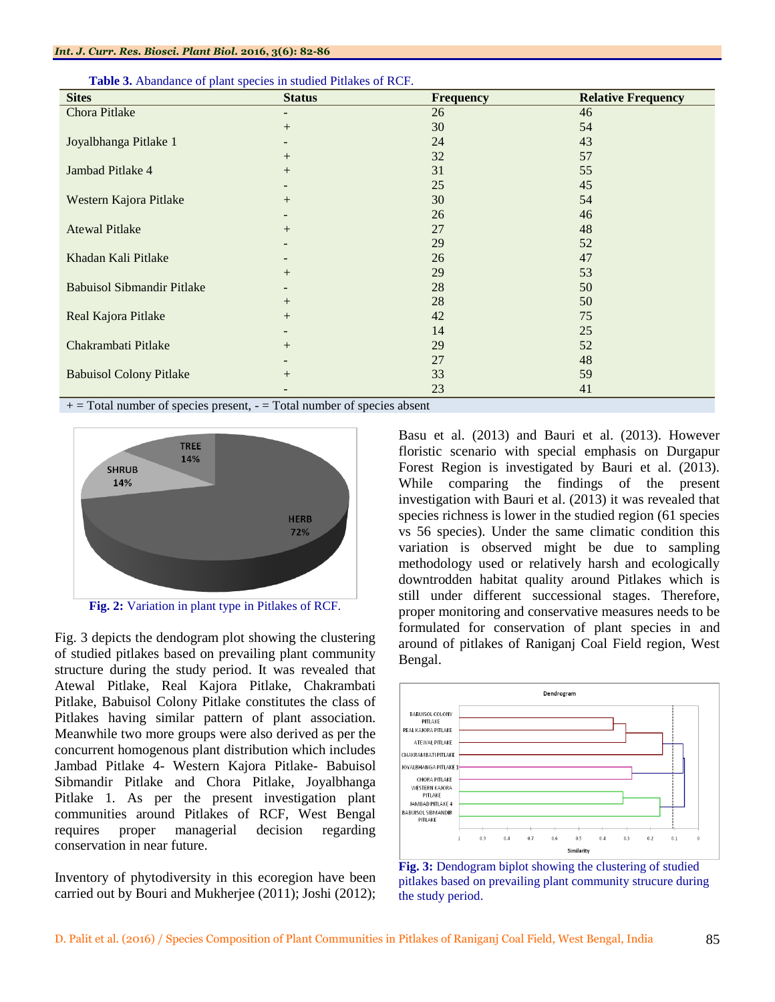| <b>Sites</b>                      | <b>Status</b> | <b>Frequency</b> | <b>Relative Frequency</b> |
|-----------------------------------|---------------|------------------|---------------------------|
| Chora Pitlake                     |               | 26               | 46                        |
|                                   | $+$           | 30               | 54                        |
| Joyalbhanga Pitlake 1             |               | 24               | 43                        |
|                                   | $^{+}$        | 32               | 57                        |
| Jambad Pitlake 4                  | $+$           | 31               | 55                        |
|                                   |               | 25               | 45                        |
| Western Kajora Pitlake            | $+$           | 30               | 54                        |
|                                   |               | 26               | 46                        |
| <b>Atewal Pitlake</b>             | $+$           | 27               | 48                        |
|                                   |               | 29               | 52                        |
| Khadan Kali Pitlake               |               | 26               | 47                        |
|                                   | $^{+}$        | 29               | 53                        |
| <b>Babuisol Sibmandir Pitlake</b> |               | 28               | 50                        |
|                                   | $+$           | 28               | 50                        |
| Real Kajora Pitlake               | $+$           | 42               | 75                        |
|                                   |               | 14               | 25                        |
| Chakrambati Pitlake               | $+$           | 29               | 52                        |
|                                   |               | 27               | 48                        |
| <b>Babuisol Colony Pitlake</b>    | $^{+}$        | 33               | 59                        |
|                                   |               | 23               | 41                        |

**Table 3.** Abandance of plant species in studied Pitlakes of RCF.

 $+$  = Total number of species present,  $-$  = Total number of species absent



**Fig. 2:** Variation in plant type in Pitlakes of RCF.

Fig. 3 depicts the dendogram plot showing the clustering of studied pitlakes based on prevailing plant community structure during the study period. It was revealed that Atewal Pitlake, Real Kajora Pitlake, Chakrambati Pitlake, Babuisol Colony Pitlake constitutes the class of Pitlakes having similar pattern of plant association. Meanwhile two more groups were also derived as per the concurrent homogenous plant distribution which includes Jambad Pitlake 4- Western Kajora Pitlake- Babuisol Sibmandir Pitlake and Chora Pitlake, Joyalbhanga Pitlake 1. As per the present investigation plant communities around Pitlakes of RCF, West Bengal requires proper managerial decision regarding conservation in near future.

Inventory of phytodiversity in this ecoregion have been carried out by Bouri and Mukherjee (2011); Joshi (2012);

Basu et al. (2013) and Bauri et al. (2013). However floristic scenario with special emphasis on Durgapur Forest Region is investigated by Bauri et al. (2013). While comparing the findings of the present investigation with Bauri et al. (2013) it was revealed that species richness is lower in the studied region (61 species vs 56 species). Under the same climatic condition this variation is observed might be due to sampling methodology used or relatively harsh and ecologically downtrodden habitat quality around Pitlakes which is still under different successional stages. Therefore, proper monitoring and conservative measures needs to be formulated for conservation of plant species in and around of pitlakes of Raniganj Coal Field region, West Bengal.



**Fig. 3:** Dendogram biplot showing the clustering of studied pitlakes based on prevailing plant community strucure during the study period.